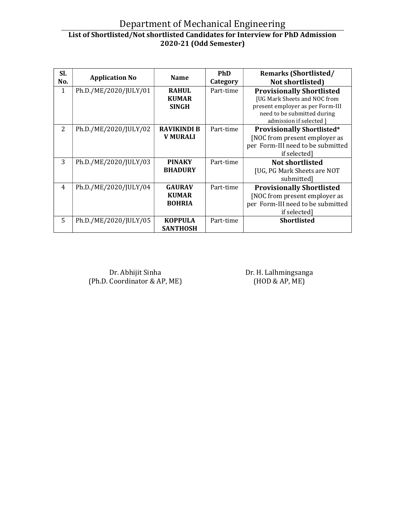## Department of Mechanical Engineering List of Shortlisted/Not shortlisted Candidates for Interview for PhD Admission 2020-21 (Odd Semester)

| SI.<br>No.   | <b>Application No</b> | <b>Name</b>        | <b>PhD</b><br>Category | <b>Remarks (Shortlisted/</b><br><b>Not shortlisted)</b> |
|--------------|-----------------------|--------------------|------------------------|---------------------------------------------------------|
| $\mathbf{1}$ | Ph.D./ME/2020/JULY/01 | <b>RAHUL</b>       | Part-time              | <b>Provisionally Shortlisted</b>                        |
|              |                       | <b>KUMAR</b>       |                        | [UG Mark Sheets and NOC from                            |
|              |                       | <b>SINGH</b>       |                        | present employer as per Form-III                        |
|              |                       |                    |                        | need to be submitted during                             |
|              |                       |                    |                        | admission if selected 1                                 |
| 2            | Ph.D./ME/2020/JULY/02 | <b>RAVIKINDI B</b> | Part-time              | <b>Provisionally Shortlisted*</b>                       |
|              |                       | <b>V MURALI</b>    |                        | [NOC from present employer as                           |
|              |                       |                    |                        | per Form-III need to be submitted                       |
|              |                       |                    |                        | if selected]                                            |
| 3            | Ph.D./ME/2020/JULY/03 | <b>PINAKY</b>      | Part-time              | <b>Not shortlisted</b>                                  |
|              |                       | <b>BHADURY</b>     |                        | [UG, PG Mark Sheets are NOT                             |
|              |                       |                    |                        | submitted]                                              |
| 4            | Ph.D./ME/2020/JULY/04 | <b>GAURAV</b>      | Part-time              | <b>Provisionally Shortlisted</b>                        |
|              |                       | <b>KUMAR</b>       |                        | [NOC from present employer as                           |
|              |                       | <b>BOHRIA</b>      |                        | per Form-III need to be submitted                       |
|              |                       |                    |                        | if selected]                                            |
| 5            | Ph.D./ME/2020/JULY/05 | <b>KOPPULA</b>     | Part-time              | <b>Shortlisted</b>                                      |
|              |                       | <b>SANTHOSH</b>    |                        |                                                         |

Dr. Abhijit Sinha (Ph.D. Coordinator & AP, ME) Dr. H. Lalhmingsanga (HOD & AP, ME)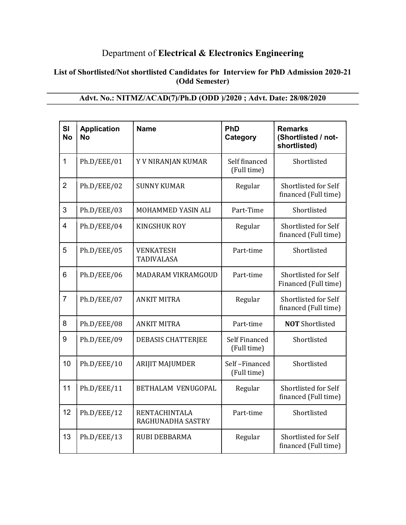## Department of Electrical & Electronics Engineering

#### List of Shortlisted/Not shortlisted Candidates for Interview for PhD Admission 2020-21 (Odd Semester)

| SI<br><b>No</b> | <b>Application</b><br><b>No</b> | <b>Name</b>                           | PhD<br>Category                     | <b>Remarks</b><br>(Shortlisted / not-<br>shortlisted) |
|-----------------|---------------------------------|---------------------------------------|-------------------------------------|-------------------------------------------------------|
| 1               | Ph.D/EEE/01                     | Y V NIRANJAN KUMAR                    | Self financed<br>(Full time)        | Shortlisted                                           |
| $\overline{2}$  | Ph.D/EEE/02                     | <b>SUNNY KUMAR</b>                    | Regular                             | Shortlisted for Self<br>financed (Full time)          |
| 3               | Ph.D/EEE/03                     | MOHAMMED YASIN ALI                    | Part-Time                           | Shortlisted                                           |
| $\overline{4}$  | Ph.D/EEE/04                     | <b>KINGSHUK ROY</b>                   | Regular                             | Shortlisted for Self<br>financed (Full time)          |
| 5               | Ph.D/EEE/05                     | <b>VENKATESH</b><br><b>TADIVALASA</b> | Part-time                           | Shortlisted                                           |
| 6               | Ph.D/EEE/06                     | MADARAM VIKRAMGOUD                    | Part-time                           | Shortlisted for Self<br>Financed (Full time)          |
| $\overline{7}$  | Ph.D/EEE/07                     | <b>ANKIT MITRA</b>                    | Regular                             | Shortlisted for Self<br>financed (Full time)          |
| 8               | Ph.D/EEE/08                     | <b>ANKIT MITRA</b>                    | Part-time                           | <b>NOT</b> Shortlisted                                |
| 9               | Ph.D/EEE/09                     | <b>DEBASIS CHATTERJEE</b>             | <b>Self Financed</b><br>(Full time) | Shortlisted                                           |
| 10              | Ph.D/EEE/10                     | <b>ARIJIT MAJUMDER</b>                | Self-Financed<br>(Full time)        | Shortlisted                                           |
| 11              | Ph.D/EEE/11                     | <b>BETHALAM VENUGOPAL</b>             | Regular                             | Shortlisted for Self<br>financed (Full time)          |
| 12              | Ph.D/EEE/12                     | RENTACHINTALA<br>RAGHUNADHA SASTRY    | Part-time                           | Shortlisted                                           |
| 13              | Ph.D/EEE/13                     | <b>RUBI DEBBARMA</b>                  | Regular                             | Shortlisted for Self<br>financed (Full time)          |

## Advt. No.: NITMZ/ACAD(7)/Ph.D (ODD )/2020 ; Advt. Date: 28/08/2020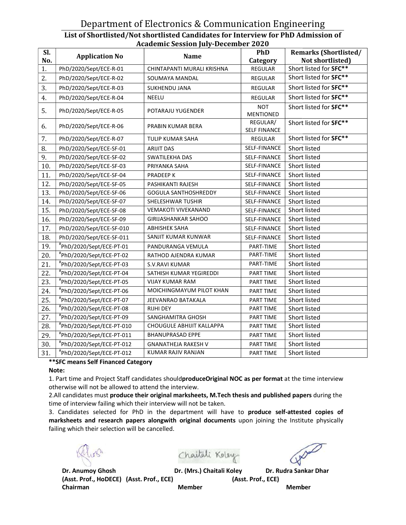#### Department of Electronics & Communication Engineering List of Shortlisted/Not shortlisted /Not Candidates for Interview for PhD Admission of Academic Session July-December 2020

| SI.<br>No. | <b>Application No</b>     | Name                        | <b>PhD</b><br>Category          | <b>Remarks (Shortlisted/</b><br>Not shortlisted) |
|------------|---------------------------|-----------------------------|---------------------------------|--------------------------------------------------|
| 1.         | PhD/2020/Sept/ECE-R-01    | CHINTAPANTI MURALI KRISHNA  | <b>REGULAR</b>                  | Short listed for SFC**                           |
| 2.         | PhD/2020/Sept/ECE-R-02    | SOUMAYA MANDAL              | <b>REGULAR</b>                  | Short listed for SFC**                           |
| 3.         | PhD/2020/Sept/ECE-R-03    | SUKHENDU JANA               | <b>REGULAR</b>                  | Short listed for SFC**                           |
| 4.         | PhD/2020/Sept/ECE-R-04    | <b>NEELU</b>                | REGULAR                         | Short listed for SFC**                           |
| 5.         | PhD/2020/Sept/ECE-R-05    | POTARAJU YUGENDER           | <b>NOT</b><br><b>MENTIONED</b>  | Short listed for SFC**                           |
| 6.         | PhD/2020/Sept/ECE-R-06    | PRABIN KUMAR BERA           | REGULAR/<br><b>SELF FINANCE</b> | Short listed for SFC**                           |
| 7.         | PhD/2020/Sept/ECE-R-07    | <b>TULIP KUMAR SAHA</b>     | REGULAR                         | Short listed for SFC**                           |
| 8.         | PhD/2020/Sept/ECE-SF-01   | <b>ARIJIT DAS</b>           | SELF-FINANCE                    | Short listed                                     |
| 9.         | PhD/2020/Sept/ECE-SF-02   | SWATILEKHA DAS              | SELF-FINANCE                    | Short listed                                     |
| 10.        | PhD/2020/Sept/ECE-SF-03   | PRIYANKA SAHA               | SELF-FINANCE                    | Short listed                                     |
| 11.        | PhD/2020/Sept/ECE-SF-04   | <b>PRADEEP K</b>            | SELF-FINANCE                    | Short listed                                     |
| 12.        | PhD/2020/Sept/ECE-SF-05   | PASHIKANTI RAJESH           | SELF-FINANCE                    | Short listed                                     |
| 13.        | PhD/2020/Sept/ECE-SF-06   | <b>GOGULA SANTHOSHREDDY</b> | SELF-FINANCE                    | Short listed                                     |
| 14.        | PhD/2020/Sept/ECE-SF-07   | SHELESHWAR TUSHIR           | SELF-FINANCE                    | Short listed                                     |
| 15.        | PhD/2020/Sept/ECE-SF-08   | <b>VEMAKOTI VIVEKANAND</b>  | SELF-FINANCE                    | Short listed                                     |
| 16.        | PhD/2020/Sept/ECE-SF-09   | GIRIJASHANKAR SAHOO         | SELF-FINANCE                    | Short listed                                     |
| 17.        | PhD/2020/Sept/ECE-SF-010  | <b>ABHISHEK SAHA</b>        | SELF-FINANCE                    | Short listed                                     |
| 18.        | PhD/2020/Sept/ECE-SF-011  | SANJIT KUMAR KUNWAR         | SELF-FINANCE                    | Short listed                                     |
| 19.        | "PhD/2020/Sept/ECE-PT-01  | PANDURANGA VEMULA           | PART-TIME                       | Short listed                                     |
| 20.        | "PhD/2020/Sept/ECE-PT-02  | RATHOD AJENDRA KUMAR        | PART-TIME                       | Short listed                                     |
| 21.        | "PhD/2020/Sept/ECE-PT-03  | S.V.RAVI KUMAR              | PART-TIME                       | Short listed                                     |
| 22.        | #PhD/2020/Sept/ECE-PT-04  | SATHISH KUMAR YEGIREDDI     | PART TIME                       | Short listed                                     |
| 23.        | "PhD/2020/Sept/ECE-PT-05  | <b>VIJAY KUMAR RAM</b>      | PART TIME                       | Short listed                                     |
| 24.        | #PhD/2020/Sept/ECE-PT-06  | MOICHINGMAYUM PILOT KHAN    | <b>PART TIME</b>                | Short listed                                     |
| 25.        | "PhD/2020/Sept/ECE-PT-07  | JEEVANRAO BATAKALA          | PART TIME                       | Short listed                                     |
| 26.        | "PhD/2020/Sept/ECE-PT-08  | <b>RIJHI DEY</b>            | PART TIME                       | Short listed                                     |
| 27.        | "PhD/2020/Sept/ECE-PT-09  | SANGHAMITRA GHOSH           | PART TIME                       | Short listed                                     |
| 28.        | "PhD/2020/Sept/ECE-PT-010 | CHOUGULE ABHIJIT KALLAPPA   | PART TIME                       | Short listed                                     |
| 29.        | #PhD/2020/Sept/ECE-PT-011 | <b>BHANUPRASAD EPPE</b>     | PART TIME                       | Short listed                                     |
| 30.        | "PhD/2020/Sept/ECE-PT-012 | <b>GNANATHEJA RAKESH V</b>  | PART TIME                       | Short listed                                     |
| 31.        | "PhD/2020/Sept/ECE-PT-012 | KUMAR RAJIV RANJAN          | PART TIME                       | Short listed                                     |
|            |                           |                             |                                 |                                                  |

#### \*\*SFC means Self Financed Category

#### Note:

1. Part time and Project Staff candidates should**produceOriginal NOC as per format** at the time interview otherwise will not be allowed to attend the interview.

2.All candidates must **produce their original marksheets, M.Tech thesis and published papers** during the time of interview failing which their interview will not be taken.

3. Candidates selected for PhD in the department will have to **produce self-attested copies of** marksheets and research papers alongwith original documents upon joining the Institute physically failing which their selection will be cancelled. Example are self-attested copid<br>ing the Institute phys<br>Dr. Rudra Sankar Dhar<br>ECE)

Chaitali Koley

Dr. Anumoy Ghosh (Asst. Prof., HoDECE) (Asst. Prof., ECE) (Asst. Prof., Chairman Member

Dr. (Mrs.) Chaitali Koley Dr. Rudra Sankar Dhar

(Asst. Prof., ECE)

Member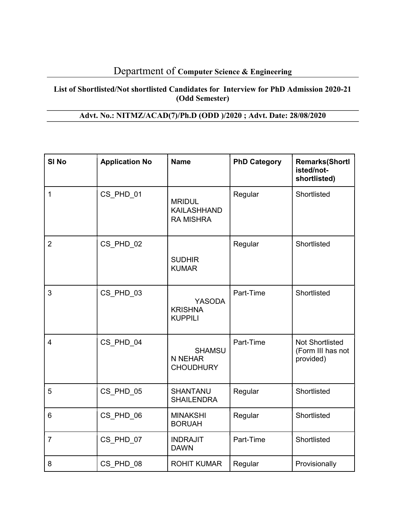## Department of Computer Science & Engineering

#### List of Shortlisted/Not shortlisted Candidates for Interview for PhD Admission 2020-21 (Odd Semester)

## Advt. No.: NITMZ/ACAD(7)/Ph.D (ODD )/2020 ; Advt. Date: 28/08/2020

| SI <sub>No</sub> | <b>Application No</b> | <b>Name</b>                                             | <b>PhD Category</b> | <b>Remarks(Shortl</b><br>isted/not-<br>shortlisted)      |
|------------------|-----------------------|---------------------------------------------------------|---------------------|----------------------------------------------------------|
| 1                | CS PHD 01             | <b>MRIDUL</b><br><b>KAILASHHAND</b><br><b>RA MISHRA</b> | Regular             | Shortlisted                                              |
| $\overline{2}$   | CS PHD 02             | <b>SUDHIR</b><br><b>KUMAR</b>                           | Regular             | Shortlisted                                              |
| 3                | CS PHD 03             | <b>YASODA</b><br><b>KRISHNA</b><br><b>KUPPILI</b>       | Part-Time           | Shortlisted                                              |
| $\overline{4}$   | CS PHD 04             | <b>SHAMSU</b><br>N NEHAR<br><b>CHOUDHURY</b>            | Part-Time           | <b>Not Shortlisted</b><br>(Form III has not<br>provided) |
| 5                | CS PHD 05             | <b>SHANTANU</b><br><b>SHAILENDRA</b>                    | Regular             | Shortlisted                                              |
| 6                | CS PHD 06             | <b>MINAKSHI</b><br><b>BORUAH</b>                        | Regular             | Shortlisted                                              |
| $\overline{7}$   | CS_PHD_07             | <b>INDRAJIT</b><br><b>DAWN</b>                          | Part-Time           | Shortlisted                                              |
| 8                | CS PHD 08             | <b>ROHIT KUMAR</b>                                      | Regular             | Provisionally                                            |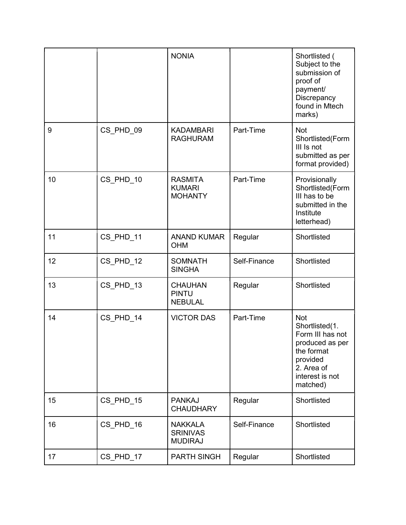|    |           | <b>NONIA</b>                                        |              | Shortlisted (<br>Subject to the<br>submission of<br>proof of<br>payment/<br>Discrepancy<br>found in Mtech<br>marks)                        |
|----|-----------|-----------------------------------------------------|--------------|--------------------------------------------------------------------------------------------------------------------------------------------|
| 9  | CS_PHD_09 | <b>KADAMBARI</b><br><b>RAGHURAM</b>                 | Part-Time    | <b>Not</b><br>Shortlisted(Form<br>III Is not<br>submitted as per<br>format provided)                                                       |
| 10 | CS PHD 10 | <b>RASMITA</b><br><b>KUMARI</b><br><b>MOHANTY</b>   | Part-Time    | Provisionally<br>Shortlisted(Form<br>III has to be<br>submitted in the<br>Institute<br>letterhead)                                         |
| 11 | CS PHD 11 | <b>ANAND KUMAR</b><br><b>OHM</b>                    | Regular      | Shortlisted                                                                                                                                |
| 12 | CS_PHD_12 | <b>SOMNATH</b><br><b>SINGHA</b>                     | Self-Finance | Shortlisted                                                                                                                                |
| 13 | CS_PHD_13 | <b>CHAUHAN</b><br><b>PINTU</b><br><b>NEBULAL</b>    | Regular      | Shortlisted                                                                                                                                |
| 14 | CS PHD 14 | <b>VICTOR DAS</b>                                   | Part-Time    | <b>Not</b><br>Shortlisted(1.<br>Form III has not<br>produced as per<br>the format<br>provided<br>2. Area of<br>interest is not<br>matched) |
| 15 | CS PHD 15 | <b>PANKAJ</b><br><b>CHAUDHARY</b>                   | Regular      | Shortlisted                                                                                                                                |
| 16 | CS_PHD_16 | <b>NAKKALA</b><br><b>SRINIVAS</b><br><b>MUDIRAJ</b> | Self-Finance | Shortlisted                                                                                                                                |
| 17 | CS PHD 17 | <b>PARTH SINGH</b>                                  | Regular      | Shortlisted                                                                                                                                |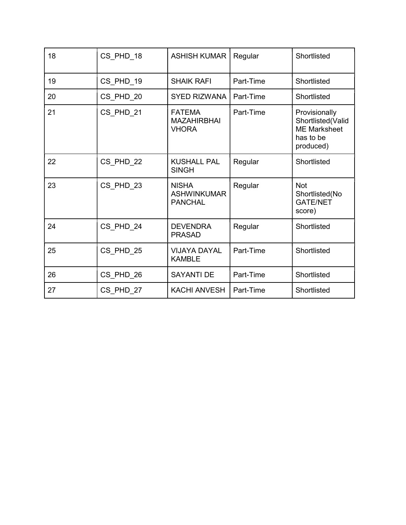| 18 | CS PHD 18 | <b>ASHISH KUMAR</b>                                  | Regular   | Shortlisted                                                                         |
|----|-----------|------------------------------------------------------|-----------|-------------------------------------------------------------------------------------|
| 19 | CS PHD 19 | <b>SHAIK RAFI</b>                                    | Part-Time | Shortlisted                                                                         |
| 20 | CS PHD 20 | <b>SYED RIZWANA</b>                                  | Part-Time | Shortlisted                                                                         |
| 21 | CS PHD 21 | <b>FATEMA</b><br><b>MAZAHIRBHAI</b><br><b>VHORA</b>  | Part-Time | Provisionally<br>Shortlisted(Valid<br><b>ME Marksheet</b><br>has to be<br>produced) |
| 22 | CS PHD 22 | <b>KUSHALL PAL</b><br><b>SINGH</b>                   | Regular   | Shortlisted                                                                         |
| 23 | CS PHD 23 | <b>NISHA</b><br><b>ASHWINKUMAR</b><br><b>PANCHAL</b> | Regular   | <b>Not</b><br>Shortlisted(No<br><b>GATE/NET</b><br>score)                           |
| 24 | CS PHD_24 | <b>DEVENDRA</b><br><b>PRASAD</b>                     | Regular   | Shortlisted                                                                         |
| 25 | CS_PHD_25 | <b>VIJAYA DAYAL</b><br><b>KAMBLE</b>                 | Part-Time | Shortlisted                                                                         |
| 26 | CS_PHD_26 | <b>SAYANTI DE</b>                                    | Part-Time | Shortlisted                                                                         |
| 27 | CS PHD 27 | <b>KACHI ANVESH</b>                                  | Part-Time | Shortlisted                                                                         |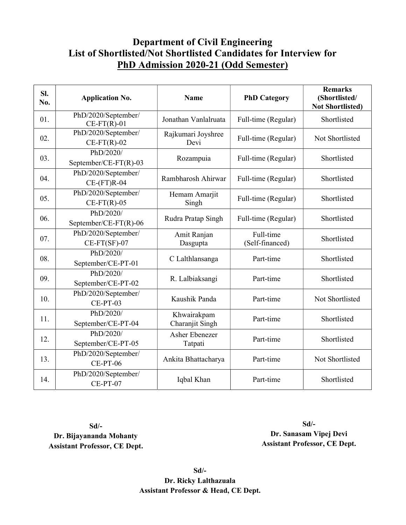## Department of Civil Engineering List of Shortlisted/Not Shortlisted Candidates for Interview for PhD Admission 2020-21 (Odd Semester)

| SI.<br>No. | <b>Application No.</b>                    | <b>Name</b>                      | <b>PhD Category</b>          | <b>Remarks</b><br>(Shortlisted/<br><b>Not Shortlisted)</b> |
|------------|-------------------------------------------|----------------------------------|------------------------------|------------------------------------------------------------|
| 01.        | PhD/2020/September/<br>$CE-FT(R)-01$      | Jonathan Vanlalruata             | Full-time (Regular)          | Shortlisted                                                |
| 02.        | PhD/2020/September/<br>$CE-FT(R)-02$      | Rajkumari Joyshree<br>Devi       | Full-time (Regular)          | Not Shortlisted                                            |
| 03.        | PhD/2020/<br>September/CE-FT(R)-03        | Rozampuia                        | Full-time (Regular)          | Shortlisted                                                |
| 04.        | PhD/2020/September/<br>$CE$ - $(FT)$ R-04 | Rambharosh Ahirwar               | Full-time (Regular)          | Shortlisted                                                |
| 05.        | PhD/2020/September/<br>$CE-FT(R)-05$      | Hemam Amarjit<br>Singh           | Full-time (Regular)          | Shortlisted                                                |
| 06.        | PhD/2020/<br>September/CE-FT(R)-06        | Rudra Pratap Singh               | Full-time (Regular)          | Shortlisted                                                |
| 07.        | PhD/2020/September/<br>$CE-FT(SF)-07$     | Amit Ranjan<br>Dasgupta          | Full-time<br>(Self-financed) | Shortlisted                                                |
| 08.        | PhD/2020/<br>September/CE-PT-01           | C Lalthlansanga                  | Part-time                    | Shortlisted                                                |
| 09.        | PhD/2020/<br>September/CE-PT-02           | R. Lalbiaksangi                  | Part-time                    | Shortlisted                                                |
| 10.        | PhD/2020/September/<br>CE-PT-03           | Kaushik Panda                    | Part-time                    | Not Shortlisted                                            |
| 11.        | PhD/2020/<br>September/CE-PT-04           | Khwairakpam<br>Charanjit Singh   | Part-time                    | Shortlisted                                                |
| 12.        | PhD/2020/<br>September/CE-PT-05           | <b>Asher Ebenezer</b><br>Tatpati | Part-time                    | Shortlisted                                                |
| 13.        | PhD/2020/September/<br>CE-PT-06           | Ankita Bhattacharya              | Part-time                    | Not Shortlisted                                            |
| 14.        | PhD/2020/September/<br>CE-PT-07           | Iqbal Khan                       | Part-time                    | Shortlisted                                                |

Sd/- Dr. Bijayananda Mohanty Assistant Professor, CE Dept.

Sd/- Dr. Sanasam Vipej Devi Assistant Professor, CE Dept.